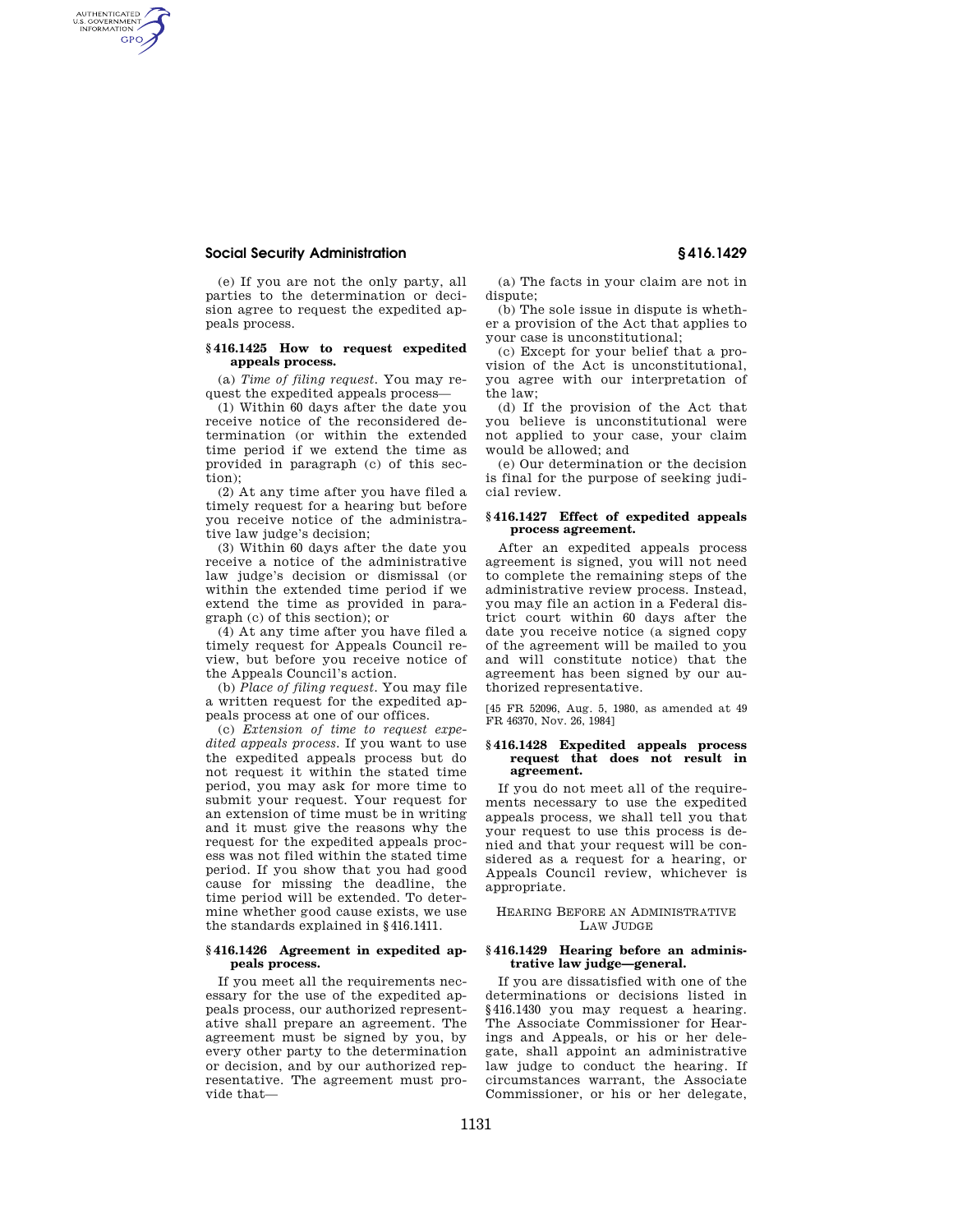## **Social Security Administration § 416.1429**

AUTHENTICATED<br>U.S. GOVERNMENT<br>INFORMATION **GPO** 

> (e) If you are not the only party, all parties to the determination or decision agree to request the expedited appeals process.

#### **§ 416.1425 How to request expedited appeals process.**

(a) *Time of filing request.* You may request the expedited appeals process—

(1) Within 60 days after the date you receive notice of the reconsidered determination (or within the extended time period if we extend the time as provided in paragraph (c) of this sec- $\bar{\text{tion}}$ ).

(2) At any time after you have filed a timely request for a hearing but before you receive notice of the administrative law judge's decision;

(3) Within 60 days after the date you receive a notice of the administrative law judge's decision or dismissal (or within the extended time period if we extend the time as provided in paragraph (c) of this section); or

(4) At any time after you have filed a timely request for Appeals Council review, but before you receive notice of the Appeals Council's action.

(b) *Place of filing request.* You may file a written request for the expedited appeals process at one of our offices.

(c) *Extension of time to request expedited appeals process.* If you want to use the expedited appeals process but do not request it within the stated time period, you may ask for more time to submit your request. Your request for an extension of time must be in writing and it must give the reasons why the request for the expedited appeals process was not filed within the stated time period. If you show that you had good cause for missing the deadline, the time period will be extended. To determine whether good cause exists, we use the standards explained in §416.1411.

#### **§ 416.1426 Agreement in expedited appeals process.**

If you meet all the requirements necessary for the use of the expedited appeals process, our authorized representative shall prepare an agreement. The agreement must be signed by you, by every other party to the determination or decision, and by our authorized representative. The agreement must provide that—

(a) The facts in your claim are not in dispute;

(b) The sole issue in dispute is whether a provision of the Act that applies to your case is unconstitutional;

(c) Except for your belief that a provision of the Act is unconstitutional, you agree with our interpretation of the law;

(d) If the provision of the Act that you believe is unconstitutional were not applied to your case, your claim would be allowed; and

(e) Our determination or the decision is final for the purpose of seeking judicial review.

## **§ 416.1427 Effect of expedited appeals process agreement.**

After an expedited appeals process agreement is signed, you will not need to complete the remaining steps of the administrative review process. Instead, you may file an action in a Federal district court within 60 days after the date you receive notice (a signed copy of the agreement will be mailed to you and will constitute notice) that the agreement has been signed by our authorized representative.

[45 FR 52096, Aug. 5, 1980, as amended at 49 FR 46370, Nov. 26, 1984]

#### **§ 416.1428 Expedited appeals process**  request that does not result in **agreement.**

If you do not meet all of the requirements necessary to use the expedited appeals process, we shall tell you that your request to use this process is denied and that your request will be considered as a request for a hearing, or Appeals Council review, whichever is appropriate.

## HEARING BEFORE AN ADMINISTRATIVE LAW JUDGE

## **§ 416.1429 Hearing before an administrative law judge—general.**

If you are dissatisfied with one of the determinations or decisions listed in §416.1430 you may request a hearing. The Associate Commissioner for Hearings and Appeals, or his or her delegate, shall appoint an administrative law judge to conduct the hearing. If circumstances warrant, the Associate Commissioner, or his or her delegate,